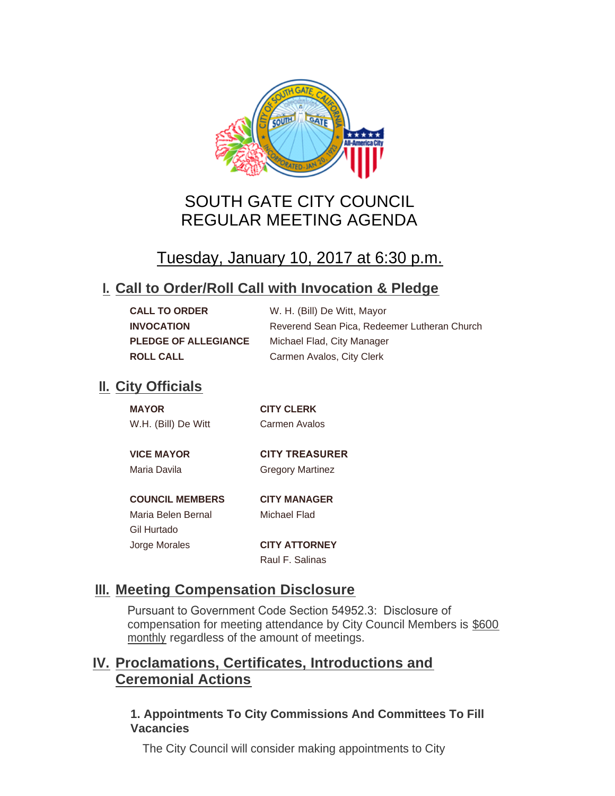

# SOUTH GATE CITY COUNCIL REGULAR MEETING AGENDA

# Tuesday, January 10, 2017 at 6:30 p.m.

## **Call to Order/Roll Call with Invocation & Pledge I.**

| <b>CALL TO ORDER</b>        | W. H. (Bill) De Witt, Mayor                  |
|-----------------------------|----------------------------------------------|
| <b>INVOCATION</b>           | Reverend Sean Pica, Redeemer Lutheran Church |
| <b>PLEDGE OF ALLEGIANCE</b> | Michael Flad, City Manager                   |
| <b>ROLL CALL</b>            | Carmen Avalos, City Clerk                    |

## **II.** City Officials

Gil Hurtado

| <b>MAYOR</b>        | <b>CITY CLERK</b>     |
|---------------------|-----------------------|
| W.H. (Bill) De Witt | Carmen Avalos         |
|                     |                       |
| <b>VICE MAYOR</b>   | <b>CITY TREASURER</b> |

Maria Davila **Gregory Martinez** 

#### **COUNCIL MEMBERS CITY MANAGER**

Maria Belen Bernal Michael Flad

Jorge Morales **CITY ATTORNEY** Raul F. Salinas

## **Meeting Compensation Disclosure III.**

Pursuant to Government Code Section 54952.3: Disclosure of compensation for meeting attendance by City Council Members is \$600 monthly regardless of the amount of meetings.

## **Proclamations, Certificates, Introductions and IV. Ceremonial Actions**

### **1. Appointments To City Commissions And Committees To Fill Vacancies**

The City Council will consider making appointments to City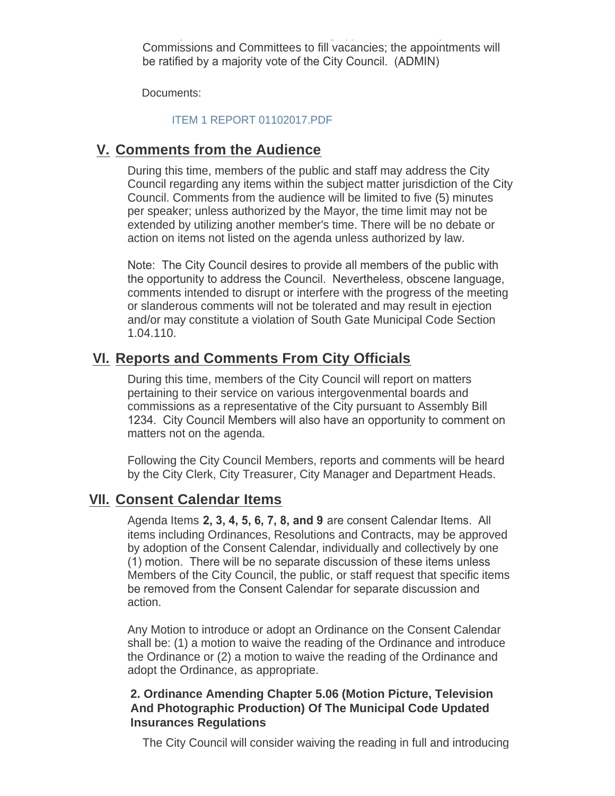The  $C$  council will consider  $C$  on  $C$  approximation to  $C$ Commissions and Committees to fill vacancies; the appointments will be ratified by a majority vote of the City Council. (ADMIN)

Documents:

#### [ITEM 1 REPORT 01102017.PDF](http://cityofsouthgate.org/AgendaCenter/ViewFile/Item/3488?fileID=8864)

## **Comments from the Audience V.**

During this time, members of the public and staff may address the City Council regarding any items within the subject matter jurisdiction of the City Council. Comments from the audience will be limited to five (5) minutes per speaker; unless authorized by the Mayor, the time limit may not be extended by utilizing another member's time. There will be no debate or action on items not listed on the agenda unless authorized by law.

Note: The City Council desires to provide all members of the public with the opportunity to address the Council. Nevertheless, obscene language, comments intended to disrupt or interfere with the progress of the meeting or slanderous comments will not be tolerated and may result in ejection and/or may constitute a violation of South Gate Municipal Code Section 1.04.110.

## **Reports and Comments From City Officials VI.**

During this time, members of the City Council will report on matters pertaining to their service on various intergovenmental boards and commissions as a representative of the City pursuant to Assembly Bill 1234. City Council Members will also have an opportunity to comment on matters not on the agenda.

Following the City Council Members, reports and comments will be heard by the City Clerk, City Treasurer, City Manager and Department Heads.

### **Consent Calendar Items VII.**

Agenda Items **2, 3, 4, 5, 6, 7, 8, and 9** are consent Calendar Items. All items including Ordinances, Resolutions and Contracts, may be approved by adoption of the Consent Calendar, individually and collectively by one (1) motion. There will be no separate discussion of these items unless Members of the City Council, the public, or staff request that specific items be removed from the Consent Calendar for separate discussion and action.

Any Motion to introduce or adopt an Ordinance on the Consent Calendar shall be: (1) a motion to waive the reading of the Ordinance and introduce the Ordinance or (2) a motion to waive the reading of the Ordinance and adopt the Ordinance, as appropriate.

#### **2. Ordinance Amending Chapter 5.06 (Motion Picture, Television And Photographic Production) Of The Municipal Code Updated Insurances Regulations**

The City Council will consider waiving the reading in full and introducing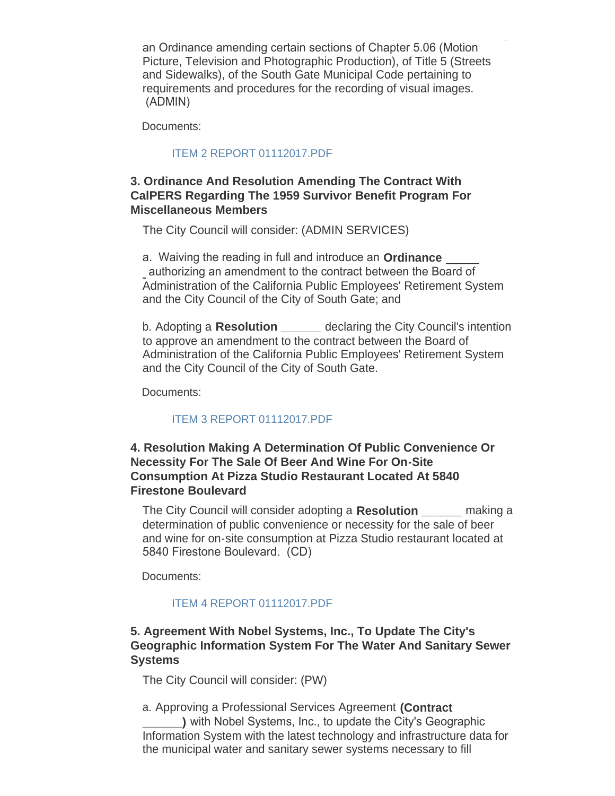The City Council will consider waiving the reading in full and introducing an Ordinance amending certain sections of Chapter 5.06 (Motion Picture, Television and Photographic Production), of Title 5 (Streets and Sidewalks), of the South Gate Municipal Code pertaining to requirements and procedures for the recording of visual images. (ADMIN)

Documents:

#### [ITEM 2 REPORT 01112017.PDF](http://cityofsouthgate.org/AgendaCenter/ViewFile/Item/3489?fileID=8865)

#### **3. Ordinance And Resolution Amending The Contract With CalPERS Regarding The 1959 Survivor Benefit Program For Miscellaneous Members**

The City Council will consider: (ADMIN SERVICES)

a. Waiving the reading in full and introduce an **Ordinance**  authorizing an amendment to the contract between the Board of Administration of the California Public Employees' Retirement System and the City Council of the City of South Gate; and

b. Adopting a **Resolution \_\_\_\_\_\_** declaring the City Council's intention to approve an amendment to the contract between the Board of Administration of the California Public Employees' Retirement System and the City Council of the City of South Gate.

Documents:

#### [ITEM 3 REPORT 01112017.PDF](http://cityofsouthgate.org/AgendaCenter/ViewFile/Item/3504?fileID=8873)

#### **4. Resolution Making A Determination Of Public Convenience Or Necessity For The Sale Of Beer And Wine For On-Site Consumption At Pizza Studio Restaurant Located At 5840 Firestone Boulevard**

The City Council will consider adopting a **Resolution \_\_\_\_\_\_** making a determination of public convenience or necessity for the sale of beer and wine for on-site consumption at Pizza Studio restaurant located at 5840 Firestone Boulevard. (CD)

Documents:

#### [ITEM 4 REPORT 01112017.PDF](http://cityofsouthgate.org/AgendaCenter/ViewFile/Item/3490?fileID=8866)

#### **5. Agreement With Nobel Systems, Inc., To Update The City's Geographic Information System For The Water And Sanitary Sewer Systems**

The City Council will consider: (PW)

a. Approving a Professional Services Agreement **(Contract \_\_\_\_\_\_)** with Nobel Systems, Inc., to update the City's Geographic Information System with the latest technology and infrastructure data for the municipal water and sanitary sewer systems necessary to fill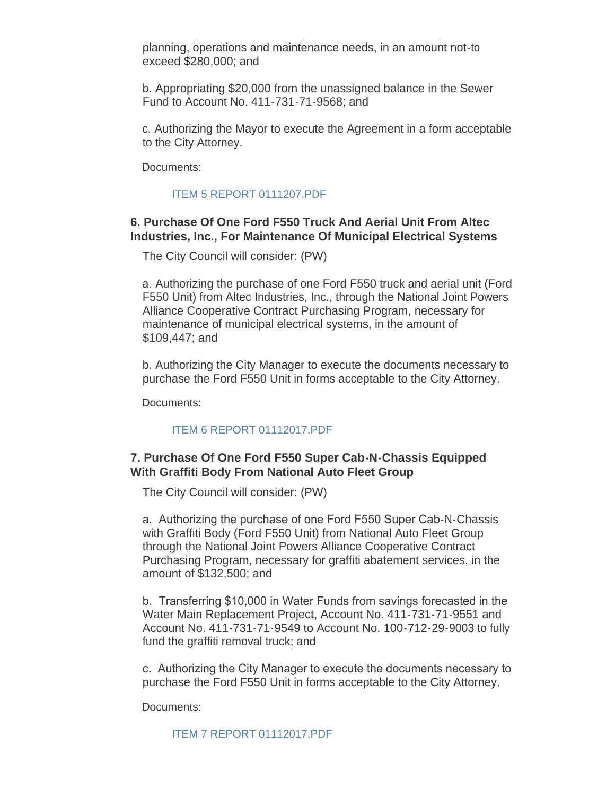the municipal water and sanitary sewer systems necessary to fill planning, operations and maintenance needs, in an amount not-to exceed \$280,000; and

b. Appropriating \$20,000 from the unassigned balance in the Sewer Fund to Account No. 411-731-71-9568; and

c. Authorizing the Mayor to execute the Agreement in a form acceptable to the City Attorney.

Documents:

#### [ITEM 5 REPORT 0111207.PDF](http://cityofsouthgate.org/AgendaCenter/ViewFile/Item/3491?fileID=8867)

#### **6. Purchase Of One Ford F550 Truck And Aerial Unit From Altec Industries, Inc., For Maintenance Of Municipal Electrical Systems**

The City Council will consider: (PW)

a. Authorizing the purchase of one Ford F550 truck and aerial unit (Ford F550 Unit) from Altec Industries, Inc., through the National Joint Powers Alliance Cooperative Contract Purchasing Program, necessary for maintenance of municipal electrical systems, in the amount of \$109,447; and

b. Authorizing the City Manager to execute the documents necessary to purchase the Ford F550 Unit in forms acceptable to the City Attorney.

Documents:

#### [ITEM 6 REPORT 01112017.PDF](http://cityofsouthgate.org/AgendaCenter/ViewFile/Item/3492?fileID=8868)

#### **7. Purchase Of One Ford F550 Super Cab-N-Chassis Equipped With Graffiti Body From National Auto Fleet Group**

The City Council will consider: (PW)

a. Authorizing the purchase of one Ford F550 Super Cab-N-Chassis with Graffiti Body (Ford F550 Unit) from National Auto Fleet Group through the National Joint Powers Alliance Cooperative Contract Purchasing Program, necessary for graffiti abatement services, in the amount of \$132,500; and

b. Transferring \$10,000 in Water Funds from savings forecasted in the Water Main Replacement Project, Account No. 411-731-71-9551 and Account No. 411-731-71-9549 to Account No. 100-712-29-9003 to fully fund the graffiti removal truck; and

c. Authorizing the City Manager to execute the documents necessary to purchase the Ford F550 Unit in forms acceptable to the City Attorney.

Documents: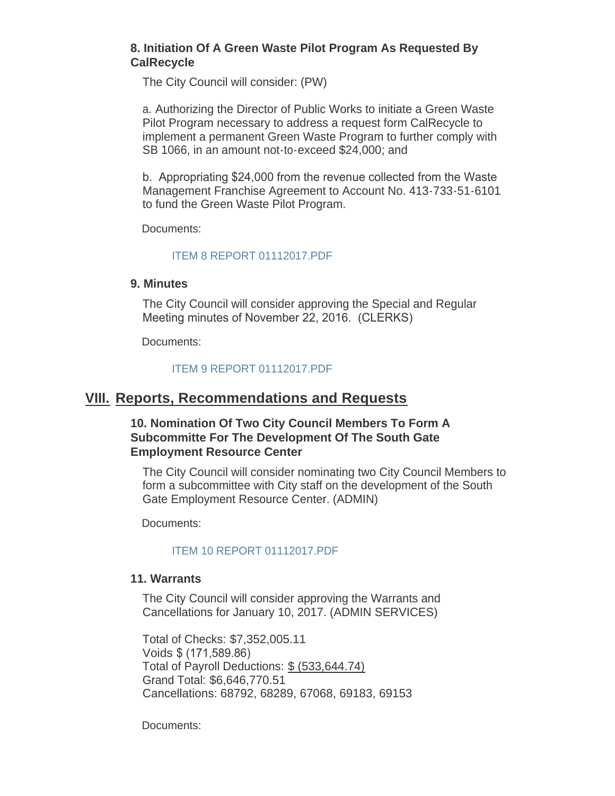#### **8. Initiation Of A Green Waste Pilot Program As Requested By CalRecycle**

The City Council will consider: (PW)

a. Authorizing the Director of Public Works to initiate a Green Waste Pilot Program necessary to address a request form CalRecycle to implement a permanent Green Waste Program to further comply with SB 1066, in an amount not-to-exceed \$24,000; and

b. Appropriating \$24,000 from the revenue collected from the Waste Management Franchise Agreement to Account No. 413-733-51-6101 to fund the Green Waste Pilot Program.

Documents:

#### [ITEM 8 REPORT 01112017.PDF](http://cityofsouthgate.org/AgendaCenter/ViewFile/Item/3494?fileID=8870)

#### **9. Minutes**

The City Council will consider approving the Special and Regular Meeting minutes of November 22, 2016. (CLERKS)

Documents:

#### [ITEM 9 REPORT 01112017.PDF](http://cityofsouthgate.org/AgendaCenter/ViewFile/Item/3506?fileID=8874)

### **Reports, Recommendations and Requests VIII.**

#### **10. Nomination Of Two City Council Members To Form A Subcommitte For The Development Of The South Gate Employment Resource Center**

The City Council will consider nominating two City Council Members to form a subcommittee with City staff on the development of the South Gate Employment Resource Center. (ADMIN)

Documents:

#### [ITEM 10 REPORT 01112017.PDF](http://cityofsouthgate.org/AgendaCenter/ViewFile/Item/3495?fileID=8871)

#### **11. Warrants**

The City Council will consider approving the Warrants and Cancellations for January 10, 2017. (ADMIN SERVICES)

Total of Checks: \$7,352,005.11 Voids \$ (171,589.86) Total of Payroll Deductions: \$ (533,644.74) Grand Total: \$6,646,770.51 Cancellations: 68792, 68289, 67068, 69183, 69153

Documents: